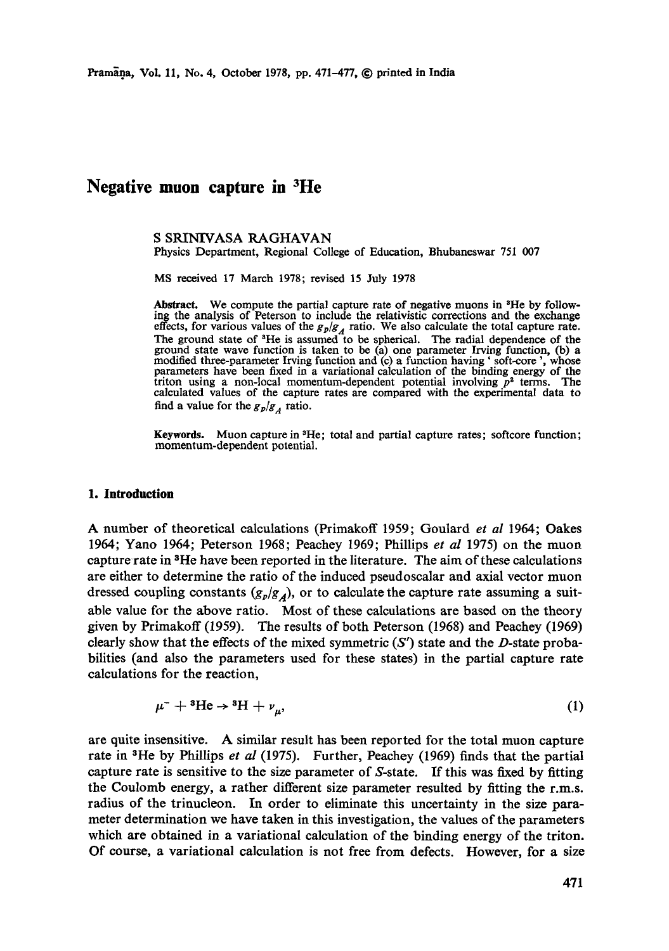# **Negative muon capture in 3He**

S SRINIVASA RAGHAVAN

Physics Department, Regional College of Education, Bhubaneswar 751 007

MS received 17 March 1978; revised 15 July 1978

Abstract. We compute the partial capture rate of negative muons in  ${}^{3}$ He by following the analysis of Peterson to include the relativistic corrections and the exchange effects, for various values of the *go/ga* ratio. We also calculate the total capture rate. The ground state of 3He is assumed to be spherical. The radial dependence of the ground state wave function is taken to be (a) one parameter Irving function, (b) a modified three-parameter Irving function and (c) a function having 'soft-core', whose<br>parameters have been fixed in a variational calculation of the binding energy of the<br>triton using a non-local momentum-dependent potent calculated values of the capture rates are compared with the experimental data to find a value for the  $g_p/g_A$  ratio.

**Keywords.** Muon capture in <sup>3</sup>He; total and partial capture rates; softcore function; momentum-dependent potential.

#### **1. Introduction**

A number of theoretical calculations (Primakoff 1959; Goulard *et al* 1964; Oakes 1964; Yano 1964; Peterson 1968; Peaehey 1969; Phillips *et al* 1975) on the muon capture rate in <sup>3</sup>He have been reported in the literature. The aim of these calculations are either to determine the ratio of the induced pseudoscalar and axial vector muon dressed coupling constants  $(g_p/g_A)$ , or to calculate the capture rate assuming a suitable value for the above ratio. Most of these calculations are based on the theory given by Primakoff (1959). The results of both Peterson (1968) and Peachey (1969) clearly show that the effects of the mixed symmetric  $(S')$  state and the D-state probabilities (and also the parameters used for these states) in the partial capture rate calculations for the reaction,

$$
\mu^{-} + {}^{3}\text{He} \rightarrow {}^{3}\text{H} + \nu_{\mu}, \tag{1}
$$

are quite insensitive. A similar result has been reported for the total muon capture rate in 3He by Phillips *et al* (1975). Further, Peachey (1969) finds that the partial capture rate is sensitive to the size parameter of S-state. If this was fixed by fitting the Coulomb energy, a rather different size parameter resulted by fitting the r.m.s. radius of the trinucleon. In order to eliminate this uncertainty in the size parameter determination we have taken in this investigation, the values of the parameters which are obtained in a variational calculation of the binding energy of the triton. Of course, a variational calculation is not free from defects. However, for a size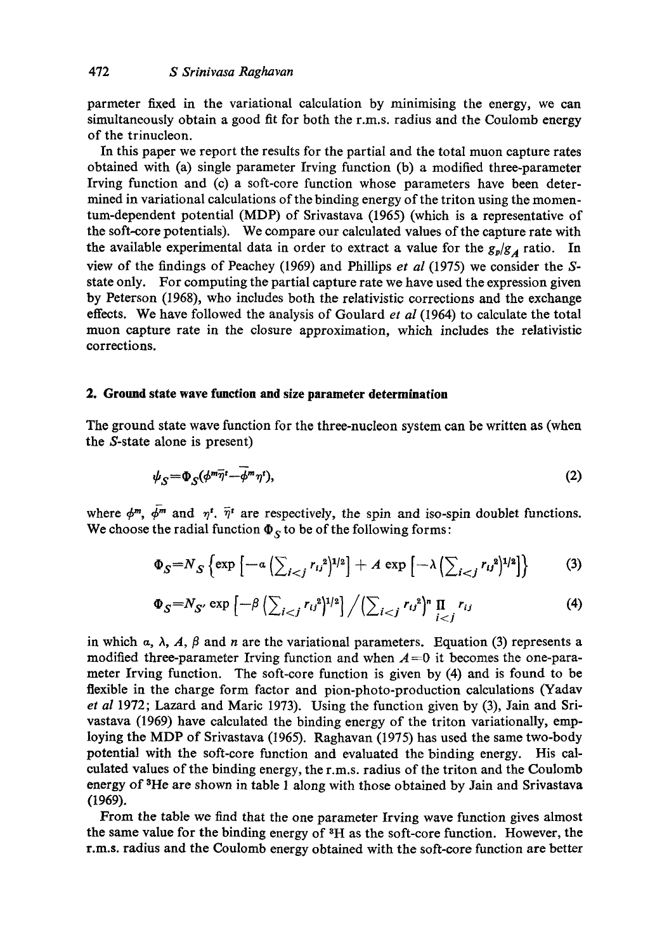parmeter fixed in the variational calculation by minimising the energy, we can simultaneously obtain a good fit for both the r.m.s, radius and the Coulomb energy of the trinucleon.

In this paper we report the results for the partial and the total muon capture rates obtained with (a) single parameter Irving function (b) a modified three-parameter Irving function and (c) a soft-core function whose parameters have been determined in variational calculations of the binding energy of the triton using the momentum-dependent potential (MDP) of Srivastava (1965) (which is a representative of the soft-core potentials). We compare our calculated values of the capture rate with the available experimental data in order to extract a value for the  $g_p/g_A$  ratio. In view of the findings of Peachey (1969) and Phillips *et al* (1975) we consider the Sstate only. For computing the partial capture rate we have used the expression given by Peterson (1968), who includes both the relativistic corrections and the exchange effects. We have followed the analysis of Goulard *et al* (1964) to calculate the total muon capture rate in the closure approximation, which includes the relativistic corrections.

## **2. Ground state wave function and size parameter determination**

The ground state wave function for the three-nucleon system can be written as (when the S-state alone is present)

$$
\psi_S = \Phi_S(\phi^m \overline{\eta}^t - \phi^m \eta^t),\tag{2}
$$

where  $\phi^m$ ,  $\bar{\phi}^m$  and  $\eta^t$ .  $\bar{\eta}^t$  are respectively, the spin and iso-spin doublet functions. We choose the radial function  $\Phi_S$  to be of the following forms:

$$
\Phi_S = N_S \left\{ \exp \left[ -\alpha \left( \sum_{i < j} r_{ij}^2 \right)^{1/2} \right] + A \exp \left[ -\lambda \left( \sum_{i < j} r_{ij}^2 \right)^{1/2} \right] \right\} \tag{3}
$$

$$
\Phi_S = N_{S'} \exp \left[ -\beta \left( \sum_{i < j} r_{ij}^2 \right)^{1/2} \right] / \left( \sum_{i < j} r_{ij}^2 \right)^n \prod_{i < j} r_{ij} \tag{4}
$$

in which  $\alpha$ ,  $\lambda$ ,  $A$ ,  $\beta$  and n are the variational parameters. Equation (3) represents a modified three-parameter Irving function and when  $A=0$  it becomes the one-parameter Irving function. The soft-core function is given by (4) and is found to be flexible in the charge form factor and pion-photo-production calculations (Yadav *et al* 1972; Lazard and Maric 1973). Using the function given by (3), Jain and Srivastava (1969) have calculated the binding energy of the triton variationally, employing the MDP of Srivastava (1965). Raghavan (1975) has used the same two-body potential with the soft-core function and evaluated the binding energy. His calculated values of the binding energy, the r.m.s, radius of the triton and the Coulomb energy of 8He are shown in table 1 along with those obtained by Jain and Srivastava (1969).

From the table we find that the one parameter Irving wave function gives almost the same value for the binding energy of 3H as the soft-core function. However, the r.m.s, radius and the Coulomb energy obtained with the soft-core function are better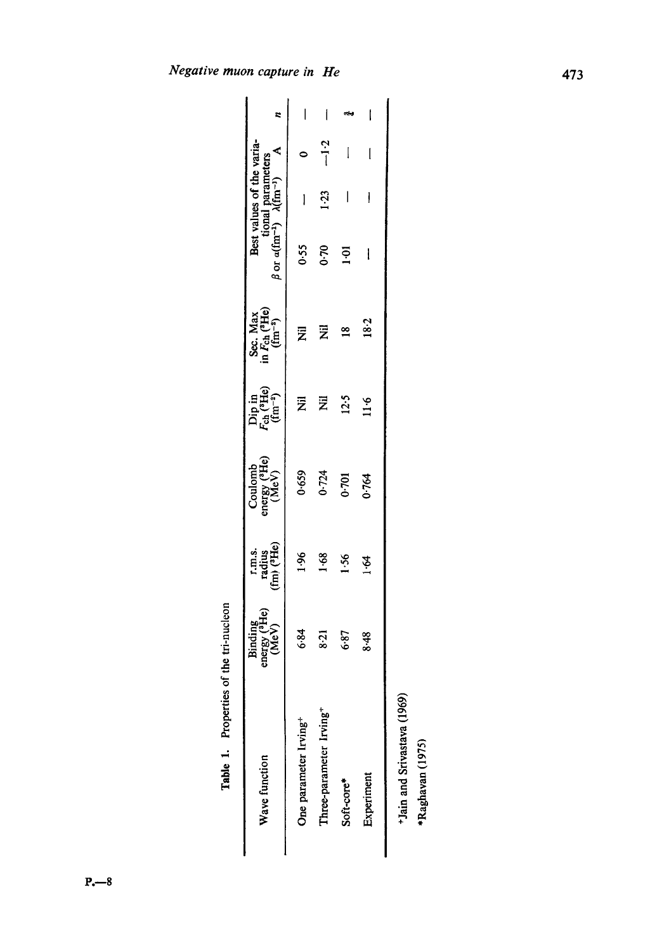| $\ddot{\phantom{a}}$ |
|----------------------|
|                      |

Table 1. Properties of the tri-nucleon

Table 1. Properties of the tri-nucleon

÷Jain and Srivastava (1969) <sup>+</sup>Jain and Srivastava (1969)

\*Raghavan (1975) \*Raghavan (1975)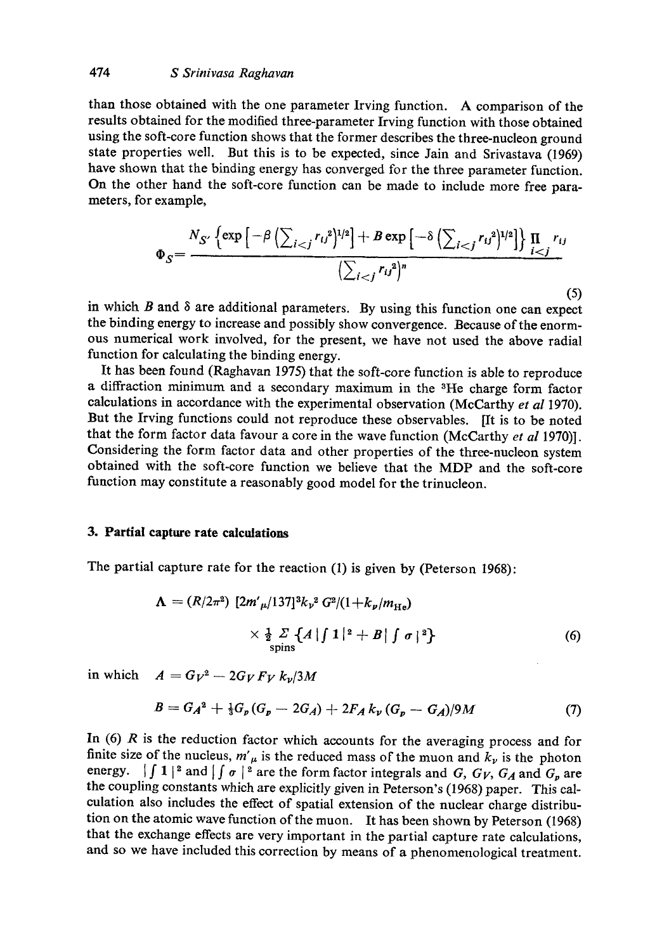than those obtained with the one parameter Irving function. A comparison of the results obtained for the modified three-parameter Irving function with those obtained using the soft-core function shows that the former describes the three-nucleon ground state properties well. But this is to be expected, since Jain and Srivastava (1969) have shown that the binding energy has converged for the three parameter function. On the other hand the soft-core function can be made to include more free parameters, for example,

$$
\Phi_S = \frac{N_{S'}\left\{\exp\left[-\beta\left(\sum_{i < j}r_{ij}^2\right)^{1/2}\right] + B\exp\left[-\delta\left(\sum_{i < j}r_{ij}^2\right)^{1/2}\right]\right\}\prod_{i < j}r_{ij}}{\left(\sum_{i < j}r_{ij}^2\right)^n} \tag{5}
$$

in which  $B$  and  $\delta$  are additional parameters. By using this function one can expect the binding energy to increase and possibly show convergence. Because of the enormous numerical work involved, for the present, we have not used the above radial function for calculating the binding energy.

It has been found (Raghavan 1975) that the soft-core function is able to reproduce a diffraction minimum and a secondary maximum in the <sup>3</sup>He charge form factor calculations in accordance with the experimental observation (McCarthy *et al* 1970). But the Irving functions could not reproduce these observables. [It is to be noted that the form factor data favour a core in the wave function (McCarthy *et al* 1970)]. Considering the form factor data and other properties of the three-nucleon system obtained with the soft-core function we believe that the MDP and the soft-core function may constitute a reasonably good model for the trinucleon.

## **3. Partial capture rate calculations**

The partial capture rate for the reaction (1) is given by (Peterson 1968):

$$
\Lambda = (R/2\pi^2) \left[ 2m'_{\mu}/137 \right]^3 k_{\nu}^2 G^2/(1 + k_{\nu}/m_{\text{He}})
$$
  
 
$$
\times \frac{1}{2} \sum_{\text{spins}} \left\{ A \left| \int 1 \right|^2 + B \left| \int \sigma \right|^2 \right\} \tag{6}
$$

in which  $A = G_V^2 - 2G_V F_V k_v/3M$ 

$$
B = G_A^2 + \frac{1}{3}G_p(G_p - 2G_A) + 2F_A k_v (G_p - G_A)/9M \tag{7}
$$

In  $(6)$  R is the reduction factor which accounts for the averaging process and for finite size of the nucleus,  $m'_\mu$  is the reduced mass of the muon and  $k_\nu$  is the photon energy.  $\int \int 1|^2$  and  $\int \int \sigma|^2$  are the form factor integrals and *G, G<sub>V</sub>, G<sub>A</sub>* and *G<sub>p</sub>* are the coupling constants which are explicitly given in Peterson's (1968) paper. This calculation also includes the effect of spatial extension of the nuclear charge distribution on the atomic wave function of the muon. It has been shown by Peterson (1968) that the exchange effects are very important in the partial capture rate calculations, and so we have included this correction by means of a phenomenological treatment.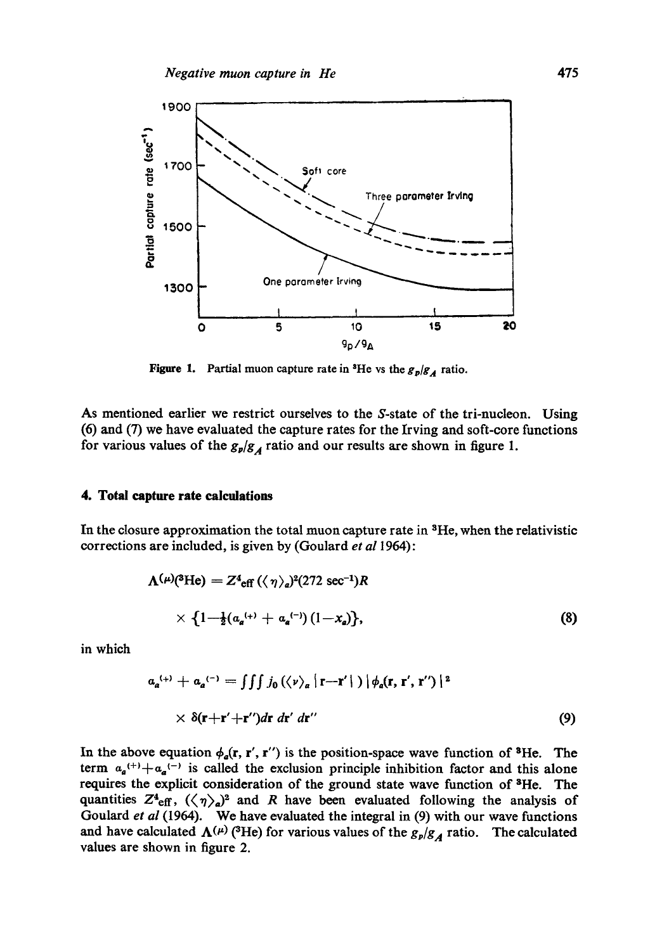

Figure 1. Partial muon capture rate in <sup>3</sup>He vs the  $g_p/g_A$  ratio.

As mentioned earlier we restrict ourselves to the S-state of the tri-nucleon. Using (6) and (7) we have evaluated the capture rates for the Irving and soft-core functions for various values of the  $g_{\nu}/g_{A}$  ratio and our results are shown in figure 1.

## **4. Total capture rate calculations**

In the closure approximation the total muon capture rate in <sup>3</sup>He, when the relativistic corrections are included, is given by (Goulard *et a11964):* 

$$
\Lambda^{(\mu)(3\text{He})} = Z^4_{\text{eff}} (\langle \eta \rangle_a)^2 (272 \text{ sec}^{-1}) R
$$
  
 
$$
\times \{1 - \frac{1}{2} (a_a^{(+)} + a_a^{(-)}) (1 - x_a) \},
$$
 (8)

in which

$$
\alpha_a^{(+)} + \alpha_a^{(-)} = \iiint j_0 (\langle \nu \rangle_a | \mathbf{r} - \mathbf{r}' | ) |\phi_a(\mathbf{r}, \mathbf{r}', \mathbf{r}'')|^2
$$
  
 
$$
\times \delta(\mathbf{r} + \mathbf{r}' + \mathbf{r}'') d\mathbf{r} d\mathbf{r}' d\mathbf{r}''
$$
 (9)

In the above equation  $\phi_a(\mathbf{r}, \mathbf{r}', \mathbf{r}'')$  is the position-space wave function of <sup>3</sup>He. The term  $a_{a}^{(+)}+a_{a}^{(-)}$  is called the exclusion principle inhibition factor and this alone requires the explicit consideration of the ground state wave function of <sup>3</sup>He. The quantities  $Z^4$ <sub>eff</sub>,  $(\langle \gamma \rangle_a)^2$  and R have been evaluated following the analysis of Goulard *et al* (1964). We have evaluated the integral in (9) with our wave functions and have calculated  $\Lambda^{(\mu)}$  (<sup>3</sup>He) for various values of the  $g_p/g_A$  ratio. The calculated values are shown in figure 2.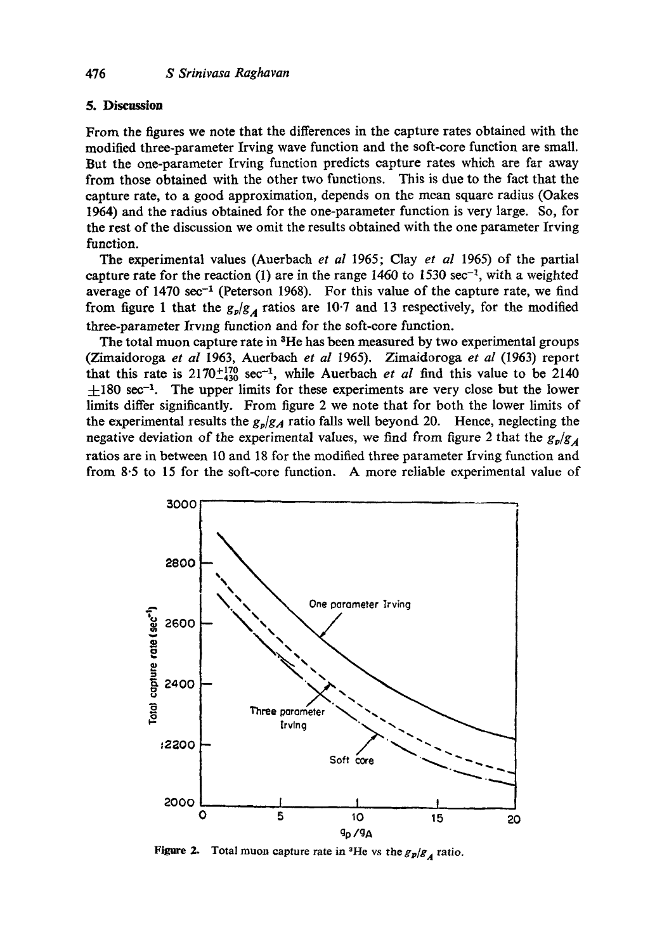#### 5. **Discussion**

From the figures we note that the differences in the capture rates obtained with the modified three-parameter Irving wave function and the soft-core function are small. But the one-parameter Irving function predicts capture rates which are far away from those obtained with the other two functions. This is due to the fact that the capture rate, to a good approximation, depends on the mean square radius (Oakes 1964) and the radius obtained for the one-parameter function is very large. So, for the rest of the discussion we omit the results obtained with the one parameter Irving function.

The experimental values (Auerbach *et aI* 1965; Clay *et al* 1965) of the partial capture rate for the reaction (1) are in the range 1460 to 1530 sec<sup>-1</sup>, with a weighted average of 1470  $sec^{-1}$  (Peterson 1968). For this value of the capture rate, we find from figure 1 that the  $g_p/g_A$  ratios are 10.7 and 13 respectively, for the modified three-parameter Irving function and for the soft-core function.

The total muon capture rate in <sup>3</sup>He has been measured by two experimental groups (Zimaidoroga *et al* 1963, Auerbach *et al* 1965). Zimaidoroga *et al* (1963) report that this rate is  $2170^{+170}_{-430}$  sec<sup>-1</sup>, while Auerbach *et al* find this value to be 2140  $\pm 180$  sec<sup>-1</sup>. The upper limits for these experiments are very close but the lower limits differ significantly. From figure 2 we note that for both the lower limits of the experimental results the  $g_p/g_A$  ratio falls well beyond 20. Hence, neglecting the negative deviation of the experimental values, we find from figure 2 that the  $g_y/g_A$ ratios are in between 10 and 18 for the modified three parameter Irving function and from 8.5 to 15 for the soft-core function. A more reliable experimental value of



**Figure 2.** Total muon capture rate in <sup>3</sup>He vs the  $g_p/g_A$  ratio.